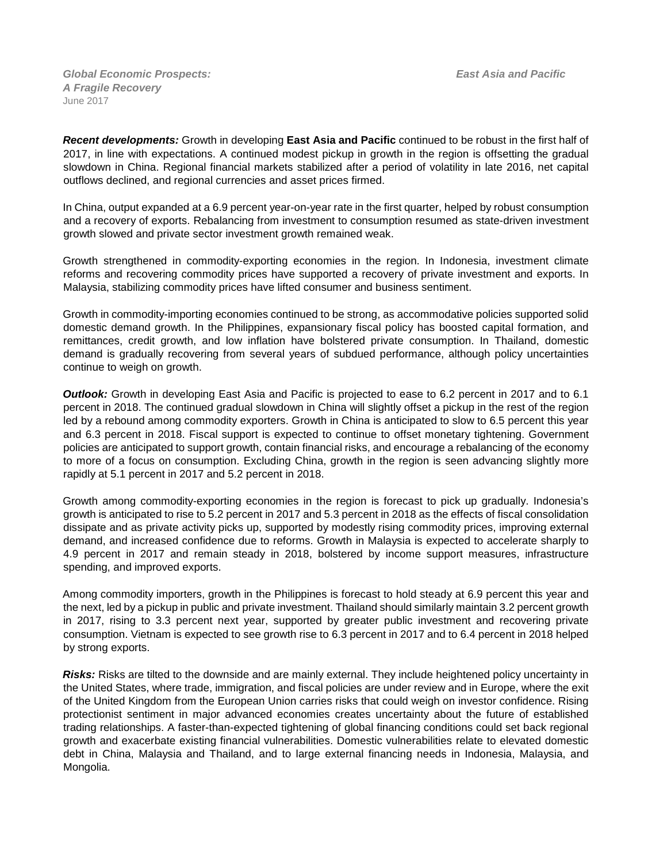*Global Economic Prospects:**East Asia and Pacific A Fragile Recovery* June 2017

*Recent developments:* Growth in developing **East Asia and Pacific** continued to be robust in the first half of 2017, in line with expectations. A continued modest pickup in growth in the region is offsetting the gradual slowdown in China. Regional financial markets stabilized after a period of volatility in late 2016, net capital outflows declined, and regional currencies and asset prices firmed.

In China, output expanded at a 6.9 percent year-on-year rate in the first quarter, helped by robust consumption and a recovery of exports. Rebalancing from investment to consumption resumed as state-driven investment growth slowed and private sector investment growth remained weak.

Growth strengthened in commodity-exporting economies in the region. In Indonesia, investment climate reforms and recovering commodity prices have supported a recovery of private investment and exports. In Malaysia, stabilizing commodity prices have lifted consumer and business sentiment.

Growth in commodity-importing economies continued to be strong, as accommodative policies supported solid domestic demand growth. In the Philippines, expansionary fiscal policy has boosted capital formation, and remittances, credit growth, and low inflation have bolstered private consumption. In Thailand, domestic demand is gradually recovering from several years of subdued performance, although policy uncertainties continue to weigh on growth.

*Outlook:* Growth in developing East Asia and Pacific is projected to ease to 6.2 percent in 2017 and to 6.1 percent in 2018. The continued gradual slowdown in China will slightly offset a pickup in the rest of the region led by a rebound among commodity exporters. Growth in China is anticipated to slow to 6.5 percent this year and 6.3 percent in 2018. Fiscal support is expected to continue to offset monetary tightening. Government policies are anticipated to support growth, contain financial risks, and encourage a rebalancing of the economy to more of a focus on consumption. Excluding China, growth in the region is seen advancing slightly more rapidly at 5.1 percent in 2017 and 5.2 percent in 2018.

Growth among commodity-exporting economies in the region is forecast to pick up gradually. Indonesia's growth is anticipated to rise to 5.2 percent in 2017 and 5.3 percent in 2018 as the effects of fiscal consolidation dissipate and as private activity picks up, supported by modestly rising commodity prices, improving external demand, and increased confidence due to reforms. Growth in Malaysia is expected to accelerate sharply to 4.9 percent in 2017 and remain steady in 2018, bolstered by income support measures, infrastructure spending, and improved exports.

Among commodity importers, growth in the Philippines is forecast to hold steady at 6.9 percent this year and the next, led by a pickup in public and private investment. Thailand should similarly maintain 3.2 percent growth in 2017, rising to 3.3 percent next year, supported by greater public investment and recovering private consumption. Vietnam is expected to see growth rise to 6.3 percent in 2017 and to 6.4 percent in 2018 helped by strong exports.

*Risks:* Risks are tilted to the downside and are mainly external. They include heightened policy uncertainty in the United States, where trade, immigration, and fiscal policies are under review and in Europe, where the exit of the United Kingdom from the European Union carries risks that could weigh on investor confidence. Rising protectionist sentiment in major advanced economies creates uncertainty about the future of established trading relationships. A faster-than-expected tightening of global financing conditions could set back regional growth and exacerbate existing financial vulnerabilities. Domestic vulnerabilities relate to elevated domestic debt in China, Malaysia and Thailand, and to large external financing needs in Indonesia, Malaysia, and Mongolia.